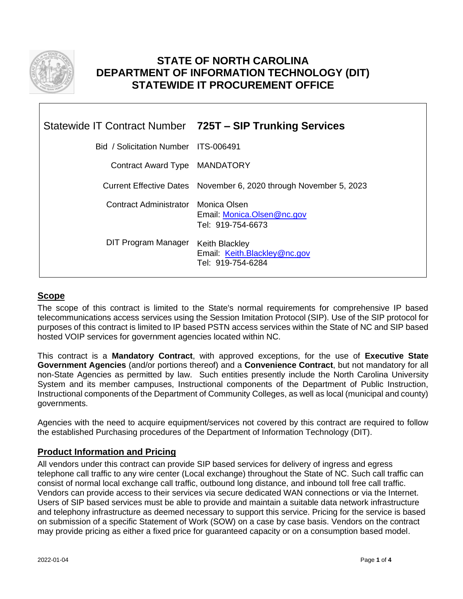

# **STATE OF NORTH CAROLINA DEPARTMENT OF INFORMATION TECHNOLOGY (DIT) STATEWIDE IT PROCUREMENT OFFICE**

|                                      | Statewide IT Contract Number 725T - SIP Trunking Services                  |
|--------------------------------------|----------------------------------------------------------------------------|
| Bid / Solicitation Number ITS-006491 |                                                                            |
| Contract Award Type MANDATORY        |                                                                            |
|                                      | Current Effective Dates November 6, 2020 through November 5, 2023          |
| Contract Administrator Monica Olsen  | Email: Monica.Olsen@nc.gov<br>Tel: 919-754-6673                            |
| DIT Program Manager                  | <b>Keith Blackley</b><br>Email: Keith.Blackley@nc.gov<br>Tel: 919-754-6284 |

## **Scope**

The scope of this contract is limited to the State's normal requirements for comprehensive IP based telecommunications access services using the Session Imitation Protocol (SIP). Use of the SIP protocol for purposes of this contract is limited to IP based PSTN access services within the State of NC and SIP based hosted VOIP services for government agencies located within NC.

This contract is a **Mandatory Contract**, with approved exceptions, for the use of **Executive State Government Agencies** (and/or portions thereof) and a **Convenience Contract**, but not mandatory for all non-State Agencies as permitted by law. Such entities presently include the North Carolina University System and its member campuses, Instructional components of the Department of Public Instruction, Instructional components of the Department of Community Colleges, as well as local (municipal and county) governments.

Agencies with the need to acquire equipment/services not covered by this contract are required to follow the established Purchasing procedures of the Department of Information Technology (DIT).

## **Product Information and Pricing**

All vendors under this contract can provide SIP based services for delivery of ingress and egress telephone call traffic to any wire center (Local exchange) throughout the State of NC. Such call traffic can consist of normal local exchange call traffic, outbound long distance, and inbound toll free call traffic. Vendors can provide access to their services via secure dedicated WAN connections or via the Internet. Users of SIP based services must be able to provide and maintain a suitable data network infrastructure and telephony infrastructure as deemed necessary to support this service. Pricing for the service is based on submission of a specific Statement of Work (SOW) on a case by case basis. Vendors on the contract may provide pricing as either a fixed price for guaranteed capacity or on a consumption based model.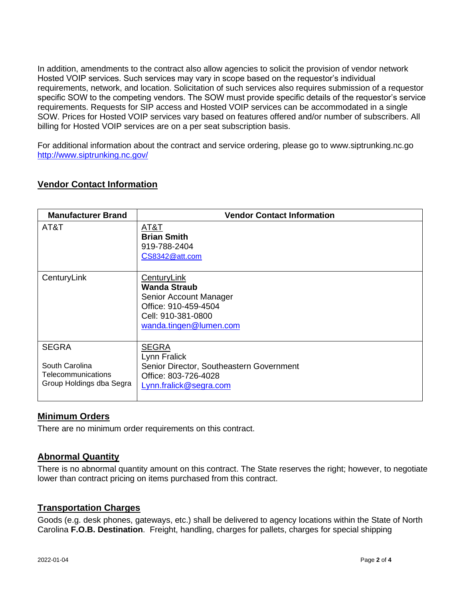In addition, amendments to the contract also allow agencies to solicit the provision of vendor network Hosted VOIP services. Such services may vary in scope based on the requestor's individual requirements, network, and location. Solicitation of such services also requires submission of a requestor specific SOW to the competing vendors. The SOW must provide specific details of the requestor's service requirements. Requests for SIP access and Hosted VOIP services can be accommodated in a single SOW. Prices for Hosted VOIP services vary based on features offered and/or number of subscribers. All billing for Hosted VOIP services are on a per seat subscription basis.

For additional information about the contract and service ordering, please go to www.siptrunking.nc.go <http://www.siptrunking.nc.gov/>

## **Vendor Contact Information**

| <b>Manufacturer Brand</b>                                                        | <b>Vendor Contact Information</b>                                                                                                    |
|----------------------------------------------------------------------------------|--------------------------------------------------------------------------------------------------------------------------------------|
| AT&T                                                                             | <u>АТ&amp;Т</u><br><b>Brian Smith</b><br>919-788-2404<br>CS8342@att.com                                                              |
| CenturyLink                                                                      | <b>CenturyLink</b><br>Wanda Straub<br>Senior Account Manager<br>Office: 910-459-4504<br>Cell: 910-381-0800<br>wanda.tingen@lumen.com |
| <b>SEGRA</b><br>South Carolina<br>Telecommunications<br>Group Holdings dba Segra | <b>SEGRA</b><br>Lynn Fralick<br>Senior Director, Southeastern Government<br>Office: 803-726-4028<br>Lynn.fralick@segra.com           |

#### **Minimum Orders**

There are no minimum order requirements on this contract.

#### **Abnormal Quantity**

There is no abnormal quantity amount on this contract. The State reserves the right; however, to negotiate lower than contract pricing on items purchased from this contract.

#### **Transportation Charges**

Goods (e.g. desk phones, gateways, etc.) shall be delivered to agency locations within the State of North Carolina **F.O.B. Destination**. Freight, handling, charges for pallets, charges for special shipping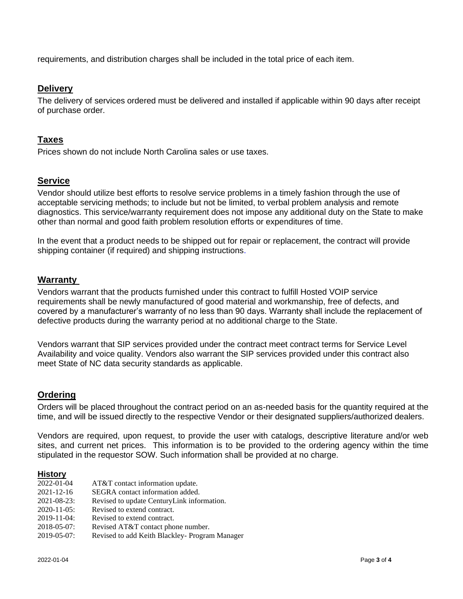requirements, and distribution charges shall be included in the total price of each item.

### **Delivery**

The delivery of services ordered must be delivered and installed if applicable within 90 days after receipt of purchase order.

## **Taxes**

Prices shown do not include North Carolina sales or use taxes.

## **Service**

Vendor should utilize best efforts to resolve service problems in a timely fashion through the use of acceptable servicing methods; to include but not be limited, to verbal problem analysis and remote diagnostics. This service/warranty requirement does not impose any additional duty on the State to make other than normal and good faith problem resolution efforts or expenditures of time.

In the event that a product needs to be shipped out for repair or replacement, the contract will provide shipping container (if required) and shipping instructions.

## **Warranty**

Vendors warrant that the products furnished under this contract to fulfill Hosted VOIP service requirements shall be newly manufactured of good material and workmanship, free of defects, and covered by a manufacturer's warranty of no less than 90 days. Warranty shall include the replacement of defective products during the warranty period at no additional charge to the State.

Vendors warrant that SIP services provided under the contract meet contract terms for Service Level Availability and voice quality. Vendors also warrant the SIP services provided under this contract also meet State of NC data security standards as applicable.

## **Ordering**

Orders will be placed throughout the contract period on an as-needed basis for the quantity required at the time, and will be issued directly to the respective Vendor or their designated suppliers/authorized dealers.

Vendors are required, upon request, to provide the user with catalogs, descriptive literature and/or web sites, and current net prices. This information is to be provided to the ordering agency within the time stipulated in the requestor SOW. Such information shall be provided at no charge.

#### **History**

| 2022-01-04         | AT&T contact information update.               |
|--------------------|------------------------------------------------|
| $2021 - 12 - 16$   | SEGRA contact information added.               |
| $2021 - 08 - 23$ : | Revised to update CenturyLink information.     |
| $2020 - 11 - 05$ : | Revised to extend contract.                    |
| $2019 - 11 - 04$ : | Revised to extend contract.                    |
| $2018 - 05 - 07$ : | Revised AT&T contact phone number.             |
| 2019-05-07:        | Revised to add Keith Blackley- Program Manager |